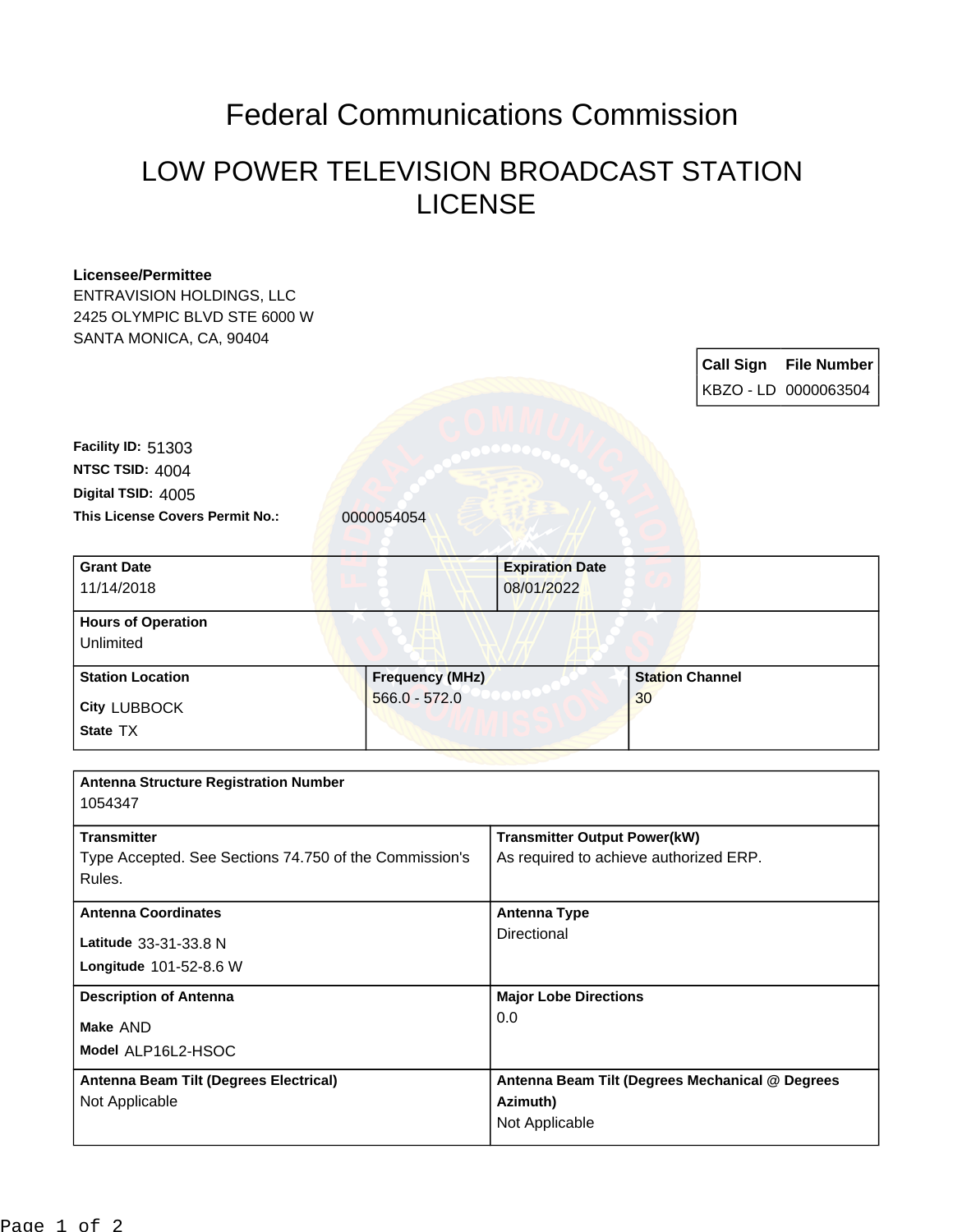## Federal Communications Commission

## LOW POWER TELEVISION BROADCAST STATION LICENSE

| <b>Licensee/Permittee</b><br><b>ENTRAVISION HOLDINGS, LLC</b><br>2425 OLYMPIC BLVD STE 6000 W |                        |                                                                               |                        |                  |                      |
|-----------------------------------------------------------------------------------------------|------------------------|-------------------------------------------------------------------------------|------------------------|------------------|----------------------|
| SANTA MONICA, CA, 90404                                                                       |                        |                                                                               |                        |                  |                      |
|                                                                                               |                        |                                                                               |                        | <b>Call Sign</b> | <b>File Number</b>   |
|                                                                                               |                        |                                                                               |                        |                  | KBZO - LD 0000063504 |
|                                                                                               |                        |                                                                               |                        |                  |                      |
| <b>Facility ID: 51303</b>                                                                     |                        |                                                                               |                        |                  |                      |
| NTSC TSID: 4004                                                                               |                        |                                                                               |                        |                  |                      |
| Digital TSID: 4005                                                                            |                        |                                                                               |                        |                  |                      |
| This License Covers Permit No.:                                                               | 0000054054             |                                                                               |                        |                  |                      |
| <b>Grant Date</b>                                                                             |                        | <b>Expiration Date</b>                                                        |                        |                  |                      |
| 11/14/2018                                                                                    |                        | 08/01/2022                                                                    |                        |                  |                      |
| <b>Hours of Operation</b>                                                                     |                        |                                                                               |                        |                  |                      |
| Unlimited                                                                                     |                        |                                                                               |                        |                  |                      |
| <b>Station Location</b>                                                                       | <b>Frequency (MHz)</b> |                                                                               | <b>Station Channel</b> |                  |                      |
| <b>City LUBBOCK</b>                                                                           | $566.0 - 572.0$        | 30                                                                            |                        |                  |                      |
| State TX                                                                                      |                        |                                                                               |                        |                  |                      |
|                                                                                               |                        |                                                                               |                        |                  |                      |
| <b>Antenna Structure Registration Number</b><br>1054347                                       |                        |                                                                               |                        |                  |                      |
|                                                                                               |                        |                                                                               |                        |                  |                      |
| <b>Transmitter</b><br>Type Accepted. See Sections 74.750 of the Commission's<br>Rules.        |                        | <b>Transmitter Output Power(kW)</b><br>As required to achieve authorized ERP. |                        |                  |                      |
|                                                                                               |                        |                                                                               |                        |                  |                      |
|                                                                                               |                        | Directional                                                                   |                        |                  |                      |
| Latitude 33-31-33.8 N                                                                         |                        |                                                                               |                        |                  |                      |
| Longitude 101-52-8.6 W                                                                        |                        |                                                                               |                        |                  |                      |
| <b>Description of Antenna</b><br>Make AND                                                     |                        | <b>Major Lobe Directions</b><br>0.0                                           |                        |                  |                      |
|                                                                                               |                        |                                                                               |                        |                  | Model ALP16L2-HSOC   |
| Antenna Beam Tilt (Degrees Electrical)                                                        |                        | Antenna Beam Tilt (Degrees Mechanical @ Degrees                               |                        |                  |                      |
| Not Applicable                                                                                |                        | Azimuth)<br>Not Applicable                                                    |                        |                  |                      |